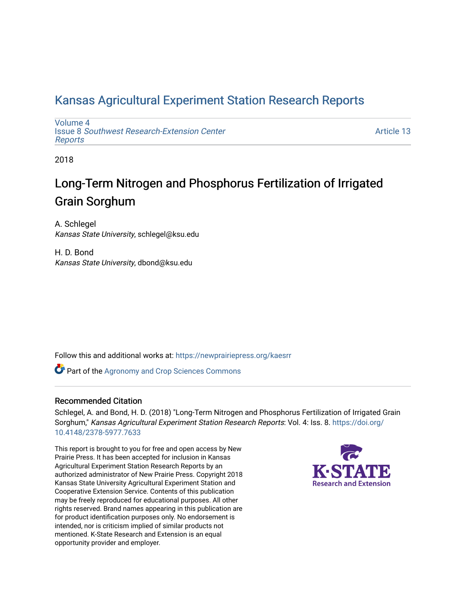# [Kansas Agricultural Experiment Station Research Reports](https://newprairiepress.org/kaesrr)

[Volume 4](https://newprairiepress.org/kaesrr/vol4) Issue 8 [Southwest Research-Extension Center](https://newprairiepress.org/kaesrr/vol4/iss8)  [Reports](https://newprairiepress.org/kaesrr/vol4/iss8)

[Article 13](https://newprairiepress.org/kaesrr/vol4/iss8/13) 

2018

# Long-Term Nitrogen and Phosphorus Fertilization of Irrigated Grain Sorghum

A. Schlegel Kansas State University, schlegel@ksu.edu

H. D. Bond Kansas State University, dbond@ksu.edu

Follow this and additional works at: [https://newprairiepress.org/kaesrr](https://newprairiepress.org/kaesrr?utm_source=newprairiepress.org%2Fkaesrr%2Fvol4%2Fiss8%2F13&utm_medium=PDF&utm_campaign=PDFCoverPages) 

**Part of the Agronomy and Crop Sciences Commons** 

### Recommended Citation

Schlegel, A. and Bond, H. D. (2018) "Long-Term Nitrogen and Phosphorus Fertilization of Irrigated Grain Sorghum," Kansas Agricultural Experiment Station Research Reports: Vol. 4: Iss. 8. [https://doi.org/](https://doi.org/10.4148/2378-5977.7633) [10.4148/2378-5977.7633](https://doi.org/10.4148/2378-5977.7633)

This report is brought to you for free and open access by New Prairie Press. It has been accepted for inclusion in Kansas Agricultural Experiment Station Research Reports by an authorized administrator of New Prairie Press. Copyright 2018 Kansas State University Agricultural Experiment Station and Cooperative Extension Service. Contents of this publication may be freely reproduced for educational purposes. All other rights reserved. Brand names appearing in this publication are for product identification purposes only. No endorsement is intended, nor is criticism implied of similar products not mentioned. K-State Research and Extension is an equal opportunity provider and employer.

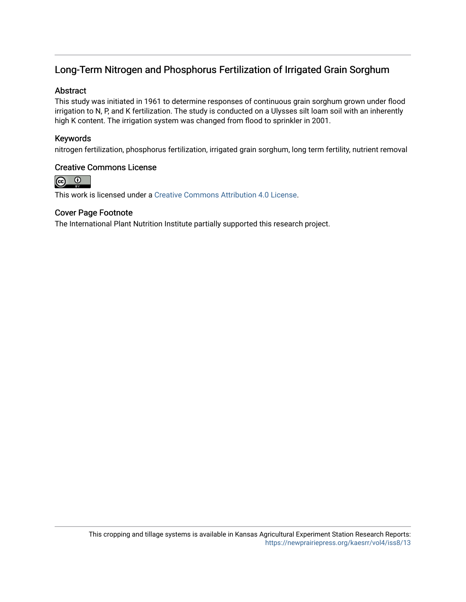# Long-Term Nitrogen and Phosphorus Fertilization of Irrigated Grain Sorghum

### Abstract

This study was initiated in 1961 to determine responses of continuous grain sorghum grown under flood irrigation to N, P, and K fertilization. The study is conducted on a Ulysses silt loam soil with an inherently high K content. The irrigation system was changed from flood to sprinkler in 2001.

### Keywords

nitrogen fertilization, phosphorus fertilization, irrigated grain sorghum, long term fertility, nutrient removal

### Creative Commons License



This work is licensed under a [Creative Commons Attribution 4.0 License](https://creativecommons.org/licenses/by/4.0/).

### Cover Page Footnote

The International Plant Nutrition Institute partially supported this research project.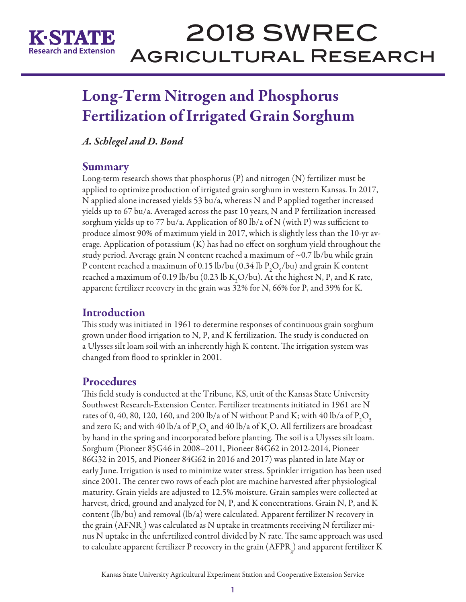

# 2018 SWREC Agricultural Research

# Long-Term Nitrogen and Phosphorus Fertilization of Irrigated Grain Sorghum

*A. Schlegel and D. Bond*

### **Summary**

Long-term research shows that phosphorus (P) and nitrogen (N) fertilizer must be applied to optimize production of irrigated grain sorghum in western Kansas. In 2017, N applied alone increased yields 53 bu/a, whereas N and P applied together increased yields up to 67 bu/a. Averaged across the past 10 years, N and P fertilization increased sorghum yields up to 77 bu/a. Application of 80 lb/a of N (with P) was sufficient to produce almost 90% of maximum yield in 2017, which is slightly less than the 10-yr average. Application of potassium (K) has had no effect on sorghum yield throughout the study period. Average grain N content reached a maximum of ~0.7 lb/bu while grain P content reached a maximum of 0.15 lb/bu (0.34 lb  $P_2O_5$ /bu) and grain K content reached a maximum of 0.19 lb/bu (0.23 lb  $\text{K}_{2}\text{O}/\text{bu}$ ). At the highest N, P, and K rate, apparent fertilizer recovery in the grain was 32% for N, 66% for P, and 39% for K.

# **Introduction**

This study was initiated in 1961 to determine responses of continuous grain sorghum grown under flood irrigation to N, P, and K fertilization. The study is conducted on a Ulysses silt loam soil with an inherently high K content. The irrigation system was changed from flood to sprinkler in 2001.

# **Procedures**

This field study is conducted at the Tribune, KS, unit of the Kansas State University Southwest Research-Extension Center. Fertilizer treatments initiated in 1961 are N rates of 0, 40, 80, 120, 160, and 200 lb/a of N without P and K; with 40 lb/a of  $\rm P_2O_5$ and zero K; and with 40 lb/a of  $P_2O_5$  and 40 lb/a of K<sub>2</sub>O. All fertilizers are broadcast by hand in the spring and incorporated before planting. The soil is a Ulysses silt loam. Sorghum (Pioneer 85G46 in 2008–2011, Pioneer 84G62 in 2012-2014, Pioneer 86G32 in 2015, and Pioneer 84G62 in 2016 and 2017) was planted in late May or early June. Irrigation is used to minimize water stress. Sprinkler irrigation has been used since 2001. The center two rows of each plot are machine harvested after physiological maturity. Grain yields are adjusted to 12.5% moisture. Grain samples were collected at harvest, dried, ground and analyzed for N, P, and K concentrations. Grain N, P, and K content (lb/bu) and removal (lb/a) were calculated. Apparent fertilizer N recovery in the grain (AFNR<sub>g</sub>) was calculated as N uptake in treatments receiving N fertilizer minus N uptake in the unfertilized control divided by N rate. The same approach was used to calculate apparent fertilizer P recovery in the grain (AFPR<sub>g</sub>) and apparent fertilizer K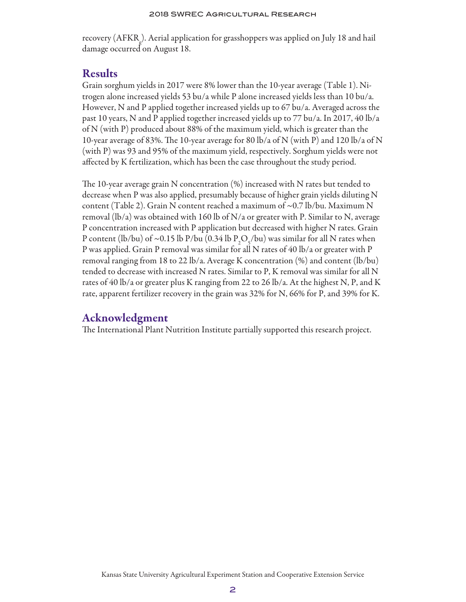#### 2018 SWREC Agricultural Research

recovery (AFKRg ). Aerial application for grasshoppers was applied on July 18 and hail damage occurred on August 18.

### Results

Grain sorghum yields in 2017 were 8% lower than the 10-year average (Table 1). Nitrogen alone increased yields 53 bu/a while P alone increased yields less than 10 bu/a. However, N and P applied together increased yields up to 67 bu/a. Averaged across the past 10 years, N and P applied together increased yields up to 77 bu/a. In 2017, 40 lb/a of N (with P) produced about 88% of the maximum yield, which is greater than the 10-year average of 83%. The 10-year average for 80 lb/a of N (with P) and 120 lb/a of N (with P) was 93 and 95% of the maximum yield, respectively. Sorghum yields were not affected by K fertilization, which has been the case throughout the study period.

The 10-year average grain N concentration (%) increased with N rates but tended to decrease when P was also applied, presumably because of higher grain yields diluting N content (Table 2). Grain N content reached a maximum of ~0.7 lb/bu. Maximum N removal (lb/a) was obtained with 160 lb of N/a or greater with P. Similar to N, average P concentration increased with P application but decreased with higher N rates. Grain P content (lb/bu) of ~0.15 lb P/bu (0.34 lb  $P_2O_5$ /bu) was similar for all N rates when P was applied. Grain P removal was similar for all N rates of 40 lb/a or greater with P removal ranging from 18 to 22 lb/a. Average K concentration  $(\%)$  and content  $(lb/bu)$ tended to decrease with increased N rates. Similar to P, K removal was similar for all N rates of 40 lb/a or greater plus K ranging from 22 to 26 lb/a. At the highest N, P, and K rate, apparent fertilizer recovery in the grain was 32% for N, 66% for P, and 39% for K.

## Acknowledgment

The International Plant Nutrition Institute partially supported this research project.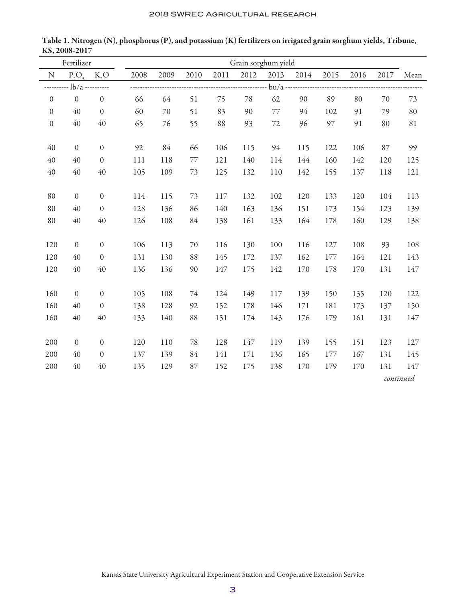| Fertilizer       |                |                           | Grain sorghum yield |      |      |      |      |      |      |      |      |      |      |
|------------------|----------------|---------------------------|---------------------|------|------|------|------|------|------|------|------|------|------|
| N                |                | $P_2O_5$ K <sub>2</sub> O | 2008                | 2009 | 2010 | 2011 | 2012 | 2013 | 2014 | 2015 | 2016 | 2017 | Mean |
|                  | $\frac{1}{2}$  |                           |                     |      |      |      |      |      |      |      |      |      |      |
| $\boldsymbol{0}$ | $\mathbf{0}$   | $\mathbf{0}$              | 66                  | 64   | 51   | 75   | 78   | 62   | 90   | 89   | 80   | 70   | 73   |
| $\mathbf{0}$     | 40             | $\mathbf{0}$              | 60                  | 70   | 51   | 83   | 90   | 77   | 94   | 102  | 91   | 79   | 80   |
| $\boldsymbol{0}$ | 40             | 40                        | 65                  | 76   | 55   | 88   | 93   | 72   | 96   | 97   | 91   | 80   | 81   |
|                  |                |                           |                     |      |      |      |      |      |      |      |      |      |      |
| 40               | $\overline{0}$ | $\boldsymbol{0}$          | 92                  | 84   | 66   | 106  | 115  | 94   | 115  | 122  | 106  | 87   | 99   |
| 40               | 40             | $\mathbf{0}$              | 111                 | 118  | 77   | 121  | 140  | 114  | 144  | 160  | 142  | 120  | 125  |
| 40               | 40             | 40                        | 105                 | 109  | 73   | 125  | 132  | 110  | 142  | 155  | 137  | 118  | 121  |
|                  |                |                           |                     |      |      |      |      |      |      |      |      |      |      |
| 80               | $\theta$       | $\boldsymbol{0}$          | 114                 | 115  | 73   | 117  | 132  | 102  | 120  | 133  | 120  | 104  | 113  |
| 80               | 40             | $\boldsymbol{0}$          | 128                 | 136  | 86   | 140  | 163  | 136  | 151  | 173  | 154  | 123  | 139  |
| 80               | 40             | 40                        | 126                 | 108  | 84   | 138  | 161  | 133  | 164  | 178  | 160  | 129  | 138  |
|                  |                |                           |                     |      |      |      |      |      |      |      |      |      |      |
| 120              | $\overline{0}$ | $\mathbf{0}$              | 106                 | 113  | 70   | 116  | 130  | 100  | 116  | 127  | 108  | 93   | 108  |
| 120              | 40             | $\boldsymbol{0}$          | 131                 | 130  | 88   | 145  | 172  | 137  | 162  | 177  | 164  | 121  | 143  |
| 120              | 40             | 40                        | 136                 | 136  | 90   | 147  | 175  | 142  | 170  | 178  | 170  | 131  | 147  |
|                  |                |                           |                     |      |      |      |      |      |      |      |      |      |      |
| 160              | $\theta$       | $\mathbf{0}$              | 105                 | 108  | 74   | 124  | 149  | 117  | 139  | 150  | 135  | 120  | 122  |
| 160              | 40             | $\mathbf{0}$              | 138                 | 128  | 92   | 152  | 178  | 146  | 171  | 181  | 173  | 137  | 150  |
| 160              | 40             | 40                        | 133                 | 140  | 88   | 151  | 174  | 143  | 176  | 179  | 161  | 131  | 147  |
|                  |                |                           |                     |      |      |      |      |      |      |      |      |      |      |
| 200              | $\overline{0}$ | $\mathbf{0}$              | 120                 | 110  | 78   | 128  | 147  | 119  | 139  | 155  | 151  | 123  | 127  |
| 200              | 40             | $\mathbf{0}$              | 137                 | 139  | 84   | 141  | 171  | 136  | 165  | 177  | 167  | 131  | 145  |
| 200              | 40             | 40                        | 135                 | 129  | 87   | 152  | 175  | 138  | 170  | 179  | 170  | 131  | 147  |
|                  |                |                           | continued           |      |      |      |      |      |      |      |      |      |      |

Table 1. Nitrogen (N), phosphorus (P), and potassium (K) fertilizers on irrigated grain sorghum yields, Tribune, KS, 2008-2017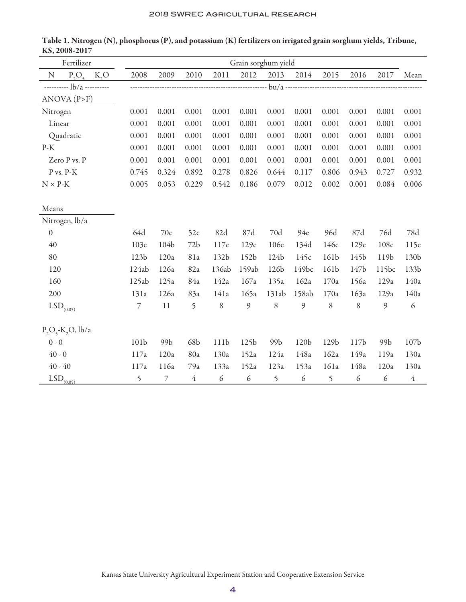| Fertilizer       |                         |       |                          | Grain sorghum yield |                |                  |                  |       |                  |       |                  |                |                  |
|------------------|-------------------------|-------|--------------------------|---------------------|----------------|------------------|------------------|-------|------------------|-------|------------------|----------------|------------------|
| $\mathbf N$      | $P_2O_{\epsilon}$       | K, O  | 2008                     | 2009                | 2010           | 2011             | 2012             | 2013  | 2014             | 2015  | 2016             | 2017           | Mean             |
|                  |                         |       |                          |                     |                |                  |                  |       |                  |       |                  |                |                  |
| ANOVA (P>F)      |                         |       |                          |                     |                |                  |                  |       |                  |       |                  |                |                  |
| Nitrogen         |                         |       | 0.001                    | 0.001               | 0.001          | 0.001            | 0.001            | 0.001 | 0.001            | 0.001 | 0.001            | 0.001          | 0.001            |
| Linear           |                         | 0.001 | 0.001                    | 0.001               | 0.001          | 0.001            | 0.001            | 0.001 | 0.001            | 0.001 | 0.001            | 0.001          |                  |
| Quadratic        |                         | 0.001 | 0.001                    | 0.001               | 0.001          | 0.001            | 0.001            | 0.001 | 0.001            | 0.001 | 0.001            | 0.001          |                  |
| $P-K$            |                         |       | 0.001                    | 0.001               | 0.001          | 0.001            | 0.001            | 0.001 | 0.001            | 0.001 | 0.001            | 0.001          | 0.001            |
|                  | Zero P vs. P            |       | 0.001                    | 0.001               | 0.001          | 0.001            | 0.001            | 0.001 | 0.001            | 0.001 | 0.001            | 0.001          | 0.001            |
|                  | P vs. P-K               |       | 0.745                    | 0.324               | 0.892          | 0.278            | 0.826            | 0.644 | 0.117            | 0.806 | 0.943            | 0.727          | 0.932            |
| $N \times P-K$   |                         |       | 0.005                    | 0.053               | 0.229          | 0.542            | 0.186            | 0.079 | 0.012            | 0.002 | 0.001            | 0.084          | 0.006            |
|                  |                         |       |                          |                     |                |                  |                  |       |                  |       |                  |                |                  |
| Means            |                         |       |                          |                     |                |                  |                  |       |                  |       |                  |                |                  |
|                  | Nitrogen, lb/a          |       |                          |                     |                |                  |                  |       |                  |       |                  |                |                  |
| $\boldsymbol{0}$ |                         |       | 64d                      | 70c                 | 52c            | 82d              | 87d              | 70d   | 94e              | 96d   | 87d              | 76d            | $78d$            |
| 40               |                         | 103c  | 104b                     | 72b                 | 117c           | 129c             | 106c             | 134d  | 146c             | 129c  | 108c             | 115c           |                  |
| 80               |                         |       | 123b                     | 120a                | 81a            | 132b             | 152b             | 124b  | 145c             | 161b  | 145b             | 119b           | 130b             |
| 120              |                         |       | 124ab                    | 126a                | 82a            | 136ab            | 159ab            | 126b  | 149bc            | 161b  | 147b             | 115bc          | 133b             |
| 160              |                         |       | 125ab                    | 125a                | 84a            | 142a             | 167a             | 135a  | 162a             | 170a  | 156a             | 129a           | 140a             |
| 200              |                         |       | 131a                     | 126a                | 83a            | 141a             | 165a             | 131ab | 158ab            | 170a  | 163a             | 129a           | 140a             |
|                  | $\mathrm{LSD}_{(0.05)}$ |       | $\overline{\mathcal{I}}$ | 11                  | 5              | 8                | 9                | 8     | 9                | 8     | 8                | $\mathfrak{g}$ | $\boldsymbol{6}$ |
|                  | $P_2O_5-K_2O$ , lb/a    |       |                          |                     |                |                  |                  |       |                  |       |                  |                |                  |
| $0 - 0$          |                         |       | 101b                     | 99b                 | 68b            | 111b             | 125b             | 99b   | 120b             | 129b  | 117 <sub>b</sub> | 99b            | 107b             |
| $40 - 0$         |                         |       | 117a                     | 120a                | 80a            | 130a             | 152a             | 124a  | 148a             | 162a  | 149a             | 119a           | 130a             |
| $40 - 40$        |                         |       | 117a                     | 116a                | 79a            | 133a             | 152a             | 123a  | 153a             | 161a  | 148a             | 120a           | 130a             |
|                  | $LSD$ <sub>(0.05)</sub> |       | 5                        | $\overline{7}$      | $\overline{4}$ | $\boldsymbol{6}$ | $\boldsymbol{6}$ | 5     | $\boldsymbol{6}$ | 5     | 6                | 6              | $\overline{4}$   |

Table 1. Nitrogen (N), phosphorus (P), and potassium (K) fertilizers on irrigated grain sorghum yields, Tribune, KS, 2008-2017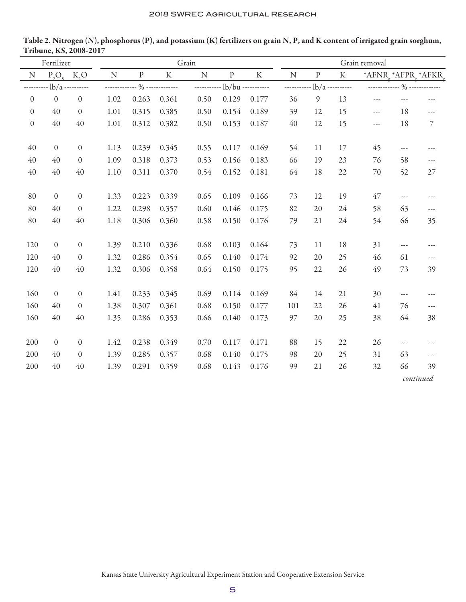| Fertilizer   |                    |                  |             |                    |                    | Grain     |                              |       | Grain removal   |           |           |                   |                             |                  |  |
|--------------|--------------------|------------------|-------------|--------------------|--------------------|-----------|------------------------------|-------|-----------------|-----------|-----------|-------------------|-----------------------------|------------------|--|
| N            | $P_5O_5$           | $K_5O$           | $\mathbf N$ | $\mathbf{P}% _{0}$ | $\rm K$            | ${\bf N}$ | $\mathbf p$                  | K     | $\mathbf N$     | ${\bf P}$ | $\rm K$   | *AFNR *AFPR *AFKR |                             |                  |  |
| ---------    | $-lb/a$ ---------- |                  | ----------- |                    | -- % ------------- |           | ----------- lb/bu ---------- |       | $------1b/a---$ |           |           |                   | ------------ % ------------ |                  |  |
| $\mathbf{0}$ | $\mathbf{0}$       | $\boldsymbol{0}$ | 1.02        | 0.263              | 0.361              | 0.50      | 0.129                        | 0.177 | 36              | 9         | 13        | ---               | $- - -$                     | ---              |  |
| $\mathbf{0}$ | 40                 | $\boldsymbol{0}$ | 1.01        | 0.315              | 0.385              | 0.50      | 0.154                        | 0.189 | 39              | 12        | 15        | ---               | 18                          | ---              |  |
| $\mathbf{0}$ | 40                 | 40               | 1.01        | 0.312              | 0.382              | 0.50      | 0.153                        | 0.187 | 40              | 12        | 15        | ---               | 18                          | $\boldsymbol{7}$ |  |
|              |                    |                  |             |                    |                    |           |                              |       |                 |           |           |                   |                             |                  |  |
| 40           | $\mathbf{0}$       | $\boldsymbol{0}$ | 1.13        | 0.239              | 0.345              | 0.55      | 0.117                        | 0.169 | 54              | 11        | 17        | 45                | $---$                       | ---              |  |
| 40           | 40                 | $\boldsymbol{0}$ | 1.09        | 0.318              | 0.373              | 0.53      | 0.156                        | 0.183 | 66              | 19        | 23        | 76                | 58                          | ---              |  |
| 40           | 40                 | 40               | 1.10        | 0.311              | 0.370              | 0.54      | 0.152                        | 0.181 | 64              | 18        | 22        | 70                | 52                          | $27\,$           |  |
|              |                    |                  |             |                    |                    |           |                              |       |                 |           |           |                   |                             |                  |  |
| 80           | $\theta$           | $\boldsymbol{0}$ | 1.33        | 0.223              | 0.339              | 0.65      | 0.109                        | 0.166 | 73              | 12        | 19        | 47                | ---                         | $---$            |  |
| 80           | 40                 | $\boldsymbol{0}$ | 1.22        | 0.298              | 0.357              | 0.60      | 0.146                        | 0.175 | 82              | 20        | 24        | 58                | 63                          | ---              |  |
| 80           | 40                 | 40               | 1.18        | 0.306              | 0.360              | 0.58      | 0.150                        | 0.176 | 79              | 21        | 24        | 54                | 66                          | 35               |  |
|              |                    |                  |             |                    |                    |           |                              |       |                 |           |           |                   |                             |                  |  |
| 120          | $\mathbf{0}$       | $\mathbf{0}$     | 1.39        | 0.210              | 0.336              | 0.68      | 0.103                        | 0.164 | 73              | 11        | 18        | 31                | ---                         | $---$            |  |
| 120          | 40                 | $\mathbf{0}$     | 1.32        | 0.286              | 0.354              | 0.65      | 0.140                        | 0.174 | 92              | 20        | 25        | 46                | 61                          | ---              |  |
| 120          | 40                 | 40               | 1.32        | 0.306              | 0.358              | 0.64      | 0.150                        | 0.175 | 95              | 22        | 26        | 49                | 73                          | 39               |  |
|              |                    |                  |             |                    |                    |           |                              |       |                 |           |           |                   |                             |                  |  |
| 160          | $\mathbf{0}$       | $\boldsymbol{0}$ | 1.41        | 0.233              | 0.345              | 0.69      | 0.114                        | 0.169 | 84              | 14        | 21        | 30                | ---                         | ---              |  |
| 160          | 40                 | $\boldsymbol{0}$ | 1.38        | 0.307              | 0.361              | 0.68      | 0.150                        | 0.177 | 101             | 22        | 26        | 41                | 76                          | $---$            |  |
| 160          | 40                 | 40               | 1.35        | 0.286              | 0.353              | 0.66      | 0.140                        | 0.173 | 97              | 20        | 25        | 38                | 64                          | 38               |  |
|              |                    |                  |             |                    |                    |           |                              |       |                 |           |           |                   |                             |                  |  |
| 200          | $\mathbf{0}$       | $\mathbf{0}$     | 1.42        | 0.238              | 0.349              | 0.70      | 0.117                        | 0.171 | 88              | 15        | 22        | 26                | ---                         | $---$            |  |
| 200          | 40                 | $\boldsymbol{0}$ | 1.39        | 0.285              | 0.357              | 0.68      | 0.140                        | 0.175 | 98              | 20        | 25        | 31                | 63                          | $---$            |  |
| 200          | 40                 | 40               | 1.39        | 0.291              | 0.359              | 0.68      | 0.143                        | 0.176 | 99              | 21        | 26        | 32                | 66                          | 39               |  |
|              |                    |                  |             |                    |                    |           |                              |       |                 |           | continued |                   |                             |                  |  |

Table 2. Nitrogen (N), phosphorus (P), and potassium (K) fertilizers on grain N, P, and K content of irrigated grain sorghum, Tribune, KS, 2008-2017